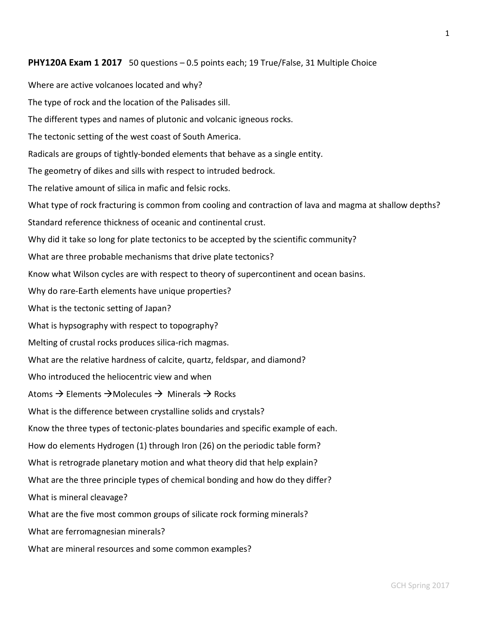## PHY120A Exam 1 2017 50 questions – 0.5 points each; 19 True/False, 31 Multiple Choice

Where are active volcanoes located and why? The type of rock and the location of the Palisades sill. The different types and names of plutonic and volcanic igneous rocks. The tectonic setting of the west coast of South America. Radicals are groups of tightly-bonded elements that behave as a single entity. The geometry of dikes and sills with respect to intruded bedrock. The relative amount of silica in mafic and felsic rocks. What type of rock fracturing is common from cooling and contraction of lava and magma at shallow depths? Standard reference thickness of oceanic and continental crust. Why did it take so long for plate tectonics to be accepted by the scientific community? What are three probable mechanisms that drive plate tectonics? Know what Wilson cycles are with respect to theory of supercontinent and ocean basins. Why do rare-Earth elements have unique properties? What is the tectonic setting of Japan? What is hypsography with respect to topography? Melting of crustal rocks produces silica-rich magmas. What are the relative hardness of calcite, quartz, feldspar, and diamond? Who introduced the heliocentric view and when Atoms  $\rightarrow$  Elements  $\rightarrow$  Molecules  $\rightarrow$  Minerals  $\rightarrow$  Rocks What is the difference between crystalline solids and crystals? Know the three types of tectonic-plates boundaries and specific example of each. How do elements Hydrogen (1) through Iron (26) on the periodic table form? What is retrograde planetary motion and what theory did that help explain? What are the three principle types of chemical bonding and how do they differ? What is mineral cleavage? What are the five most common groups of silicate rock forming minerals? What are ferromagnesian minerals? What are mineral resources and some common examples?